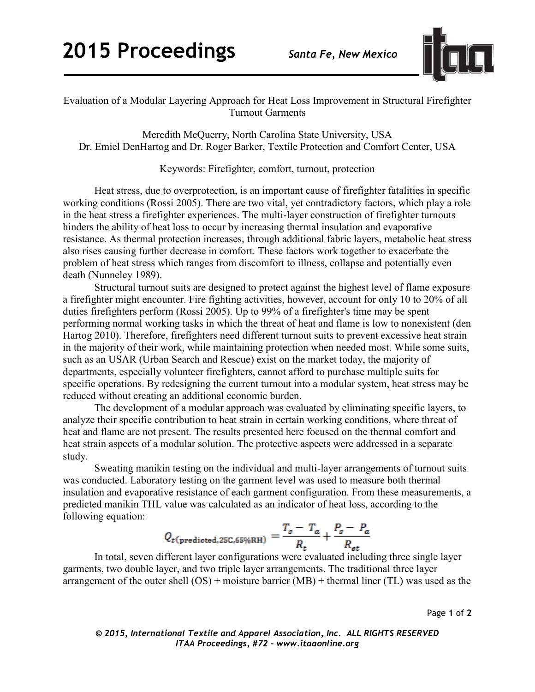

Evaluation of a Modular Layering Approach for Heat Loss Improvement in Structural Firefighter Turnout Garments

Meredith McQuerry, North Carolina State University, USA Dr. Emiel DenHartog and Dr. Roger Barker, Textile Protection and Comfort Center, USA

Keywords: Firefighter, comfort, turnout, protection

Heat stress, due to overprotection, is an important cause of firefighter fatalities in specific working conditions (Rossi 2005). There are two vital, yet contradictory factors, which play a role in the heat stress a firefighter experiences. The multi-layer construction of firefighter turnouts hinders the ability of heat loss to occur by increasing thermal insulation and evaporative resistance. As thermal protection increases, through additional fabric layers, metabolic heat stress also rises causing further decrease in comfort. These factors work together to exacerbate the problem of heat stress which ranges from discomfort to illness, collapse and potentially even death (Nunneley 1989).

Structural turnout suits are designed to protect against the highest level of flame exposure a firefighter might encounter. Fire fighting activities, however, account for only 10 to 20% of all duties firefighters perform (Rossi 2005). Up to 99% of a firefighter's time may be spent performing normal working tasks in which the threat of heat and flame is low to nonexistent (den Hartog 2010). Therefore, firefighters need different turnout suits to prevent excessive heat strain in the majority of their work, while maintaining protection when needed most. While some suits, such as an USAR (Urban Search and Rescue) exist on the market today, the majority of departments, especially volunteer firefighters, cannot afford to purchase multiple suits for specific operations. By redesigning the current turnout into a modular system, heat stress may be reduced without creating an additional economic burden.

The development of a modular approach was evaluated by eliminating specific layers, to analyze their specific contribution to heat strain in certain working conditions, where threat of heat and flame are not present. The results presented here focused on the thermal comfort and heat strain aspects of a modular solution. The protective aspects were addressed in a separate study.

Sweating manikin testing on the individual and multi-layer arrangements of turnout suits was conducted. Laboratory testing on the garment level was used to measure both thermal insulation and evaporative resistance of each garment configuration. From these measurements, a predicted manikin THL value was calculated as an indicator of heat loss, according to the following equation:

$$
Q_{t(\text{predicted}, 25\text{C}, 65\% \text{RH})} = \frac{T_s - T_a}{R_t} + \frac{P_s - P_a}{R_{et}}
$$

In total, seven different layer configurations were evaluated including three single layer garments, two double layer, and two triple layer arrangements. The traditional three layer arrangement of the outer shell  $(OS)$  + moisture barrier  $(MB)$  + thermal liner  $(TL)$  was used as the

Page **1** of **2**

*© 2015, International Textile and Apparel Association, Inc. ALL RIGHTS RESERVED ITAA Proceedings, #72 – www.itaaonline.org*